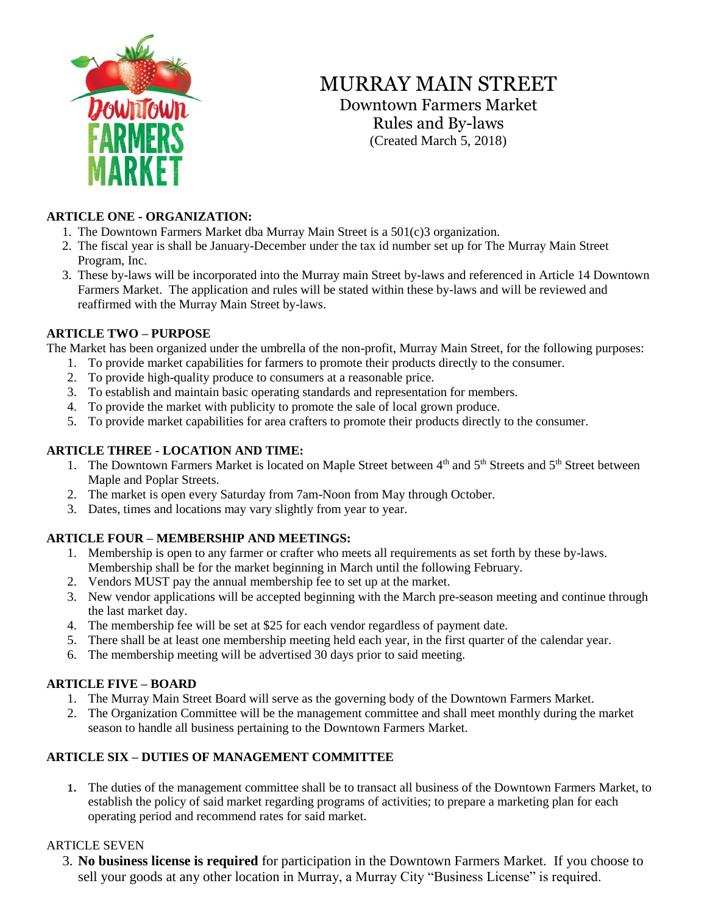

# MURRAY MAIN STREET

Downtown Farmers Market Rules and By-laws (Created March 5, 2018)

### **ARTICLE ONE - ORGANIZATION:**

- 1. The Downtown Farmers Market dba Murray Main Street is a 501(c)3 organization.
- 2. The fiscal year is shall be January-December under the tax id number set up for The Murray Main Street Program, Inc.
- 3. These by-laws will be incorporated into the Murray main Street by-laws and referenced in Article 14 Downtown Farmers Market. The application and rules will be stated within these by-laws and will be reviewed and reaffirmed with the Murray Main Street by-laws.

### **ARTICLE TWO – PURPOSE**

The Market has been organized under the umbrella of the non-profit, Murray Main Street, for the following purposes:

- 1. To provide market capabilities for farmers to promote their products directly to the consumer.
- 2. To provide high-quality produce to consumers at a reasonable price.
- 3. To establish and maintain basic operating standards and representation for members.
- 4. To provide the market with publicity to promote the sale of local grown produce.
- 5. To provide market capabilities for area crafters to promote their products directly to the consumer.

# **ARTICLE THREE - LOCATION AND TIME:**

- 1. The Downtown Farmers Market is located on Maple Street between 4<sup>th</sup> and 5<sup>th</sup> Streets and 5<sup>th</sup> Street between Maple and Poplar Streets.
- 2. The market is open every Saturday from 7am-Noon from May through October.
- 3. Dates, times and locations may vary slightly from year to year.

# **ARTICLE FOUR – MEMBERSHIP AND MEETINGS:**

- 1. Membership is open to any farmer or crafter who meets all requirements as set forth by these by-laws. Membership shall be for the market beginning in March until the following February.
- 2. Vendors MUST pay the annual membership fee to set up at the market.
- 3. New vendor applications will be accepted beginning with the March pre-season meeting and continue through the last market day.
- 4. The membership fee will be set at \$25 for each vendor regardless of payment date.
- 5. There shall be at least one membership meeting held each year, in the first quarter of the calendar year.
- 6. The membership meeting will be advertised 30 days prior to said meeting.

# **ARTICLE FIVE – BOARD**

- 1. The Murray Main Street Board will serve as the governing body of the Downtown Farmers Market.
- 2. The Organization Committee will be the management committee and shall meet monthly during the market season to handle all business pertaining to the Downtown Farmers Market.

# **ARTICLE SIX – DUTIES OF MANAGEMENT COMMITTEE**

1. The duties of the management committee shall be to transact all business of the Downtown Farmers Market, to establish the policy of said market regarding programs of activities; to prepare a marketing plan for each operating period and recommend rates for said market.

# ARTICLE SEVEN

3. **No business license is required** for participation in the Downtown Farmers Market. If you choose to sell your goods at any other location in Murray, a Murray City "Business License" is required.